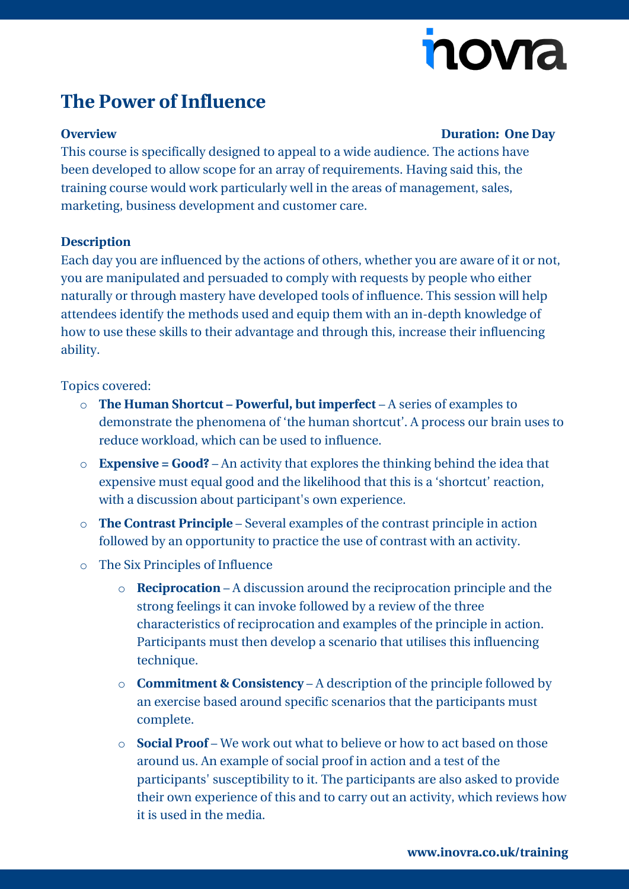# nova

## **The Power of Influence**

#### **Overview Duration: One Day**

This course is specifically designed to appeal to a wide audience. The actions have been developed to allow scope for an array of requirements. Having said this, the training course would work particularly well in the areas of management, sales, marketing, business development and customer care.

#### **Description**

Each day you are influenced by the actions of others, whether you are aware of it or not, you are manipulated and persuaded to comply with requests by people who either naturally or through mastery have developed tools of influence. This session will help attendees identify the methods used and equip them with an in-depth knowledge of how to use these skills to their advantage and through this, increase their influencing ability.

### Topics covered:

- o **The Human Shortcut – Powerful, but imperfect** A series of examples to demonstrate the phenomena of 'the human shortcut'. A process our brain uses to reduce workload, which can be used to influence.
- o **Expensive = Good?** An activity that explores the thinking behind the idea that expensive must equal good and the likelihood that this is a 'shortcut' reaction, with a discussion about participant's own experience.
- o **The Contrast Principle** Several examples of the contrast principle in action followed by an opportunity to practice the use of contrast with an activity.
- o The Six Principles of Influence
	- o **Reciprocation** A discussion around the reciprocation principle and the strong feelings it can invoke followed by a review of the three characteristics of reciprocation and examples of the principle in action. Participants must then develop a scenario that utilises this influencing technique.
	- o **Commitment & Consistency** A description of the principle followed by an exercise based around specific scenarios that the participants must complete.
	- o **Social Proof** We work out what to believe or how to act based on those around us. An example of social proof in action and a test of the participants' susceptibility to it. The participants are also asked to provide their own experience of this and to carry out an activity, which reviews how it is used in the media.